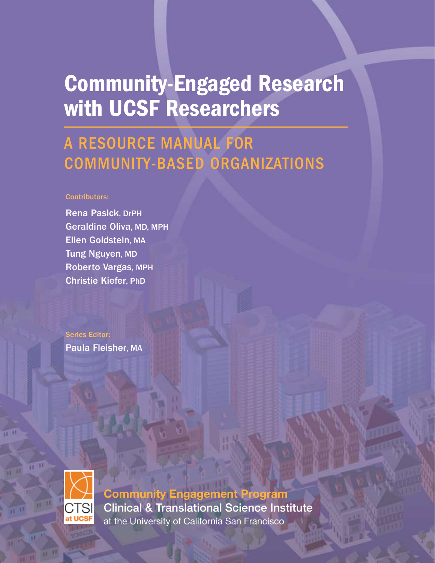# Community-Engaged Research with UCSF Researchers

# A RESOURCE MANUAL FOR COMMUNITY-BASED ORGANIZATIONS

#### Contributors:

Rena Pasick, DrPH Geraldine Oliva, MD, MPH Ellen Goldstein, MA Tung Nguyen, MD Roberto Vargas, MPH Christie Kiefer, PhD

Series Editor: Paula Fleisher, MA



**Community Engagement Program** Clinical & Translational Science Institute at the University of California San Francisco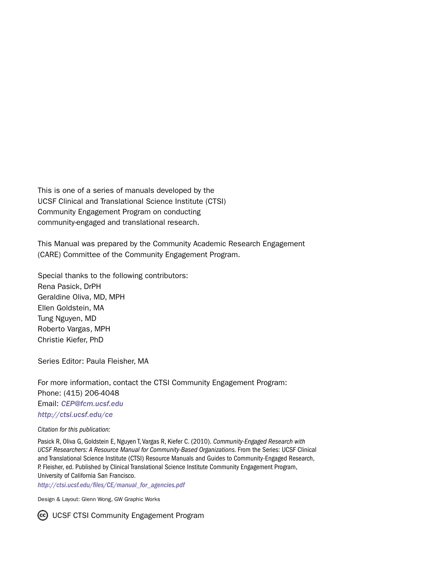This is one of a series of manuals developed by the UCSF Clinical and Translational Science Institute (CTSI) Community Engagement Program on conducting community-engaged and translational research.

This Manual was prepared by the Community Academic Research Engagement (CARE) Committee of the Community Engagement Program.

Special thanks to the following contributors: Rena Pasick, DrPH Geraldine Oliva, MD, MPH Ellen Goldstein, MA Tung Nguyen, MD Roberto Vargas, MPH Christie Kiefer, PhD

Series Editor: Paula Fleisher, MA

For more information, contact the CTSI Community Engagement Program: Phone: (415) 206-4048 Email: *[CEP@fcm.ucsf.edu](mailto:CEP@fcm.ucsf.edu) <http://ctsi.ucsf.edu/ce>*

*Citation for this publication:*

Pasick R, Oliva G, Goldstein E, Nguyen T, Vargas R, Kiefer C. (2010). *Community-Engaged Research with UCSF Researchers: A Resource Manual for Community-Based Organizations.* From the Series: UCSF Clinical and Translational Science Institute (CTSI) Resource Manuals and Guides to Community-Engaged Research, P. Fleisher, ed. Published by Clinical Translational Science Institute Community Engagement Program, University of California San Francisco.

*http://ctsi.ucsf.edu/files/CE/manual\_for\_agencies.pdf*

Design & Layout: Glenn Wong, GW Graphic Works

Co UCSF CTSI Community Engagement Program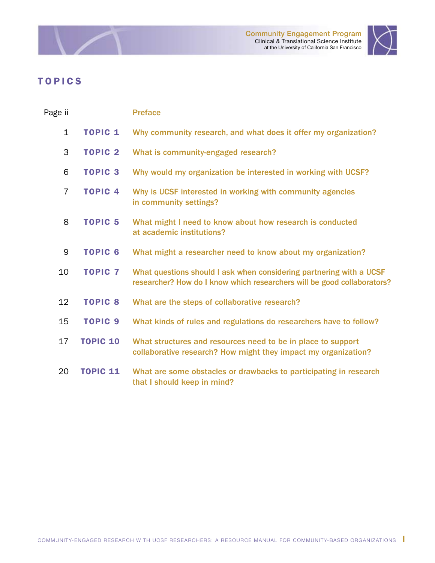



╱

<span id="page-2-0"></span>- 2

| Page ii        |                 | <b>Preface</b>                                                                                                                                 |
|----------------|-----------------|------------------------------------------------------------------------------------------------------------------------------------------------|
| $\mathbf{1}$   | <b>TOPIC 1</b>  | Why community research, and what does it offer my organization?                                                                                |
| 3              | <b>TOPIC 2</b>  | What is community-engaged research?                                                                                                            |
| 6              | <b>TOPIC 3</b>  | Why would my organization be interested in working with UCSF?                                                                                  |
| $\overline{7}$ | <b>TOPIC 4</b>  | Why is UCSF interested in working with community agencies<br>in community settings?                                                            |
| 8              | <b>TOPIC 5</b>  | What might I need to know about how research is conducted<br>at academic institutions?                                                         |
| 9              | <b>TOPIC 6</b>  | What might a researcher need to know about my organization?                                                                                    |
| 10             | <b>TOPIC 7</b>  | What questions should I ask when considering partnering with a UCSF<br>researcher? How do I know which researchers will be good collaborators? |
| 12             | <b>TOPIC 8</b>  | What are the steps of collaborative research?                                                                                                  |
| 15             | <b>TOPIC 9</b>  | What kinds of rules and regulations do researchers have to follow?                                                                             |
| 17             | <b>TOPIC 10</b> | What structures and resources need to be in place to support<br>collaborative research? How might they impact my organization?                 |
| 20             | <b>TOPIC 11</b> | What are some obstacles or drawbacks to participating in research<br>that I should keep in mind?                                               |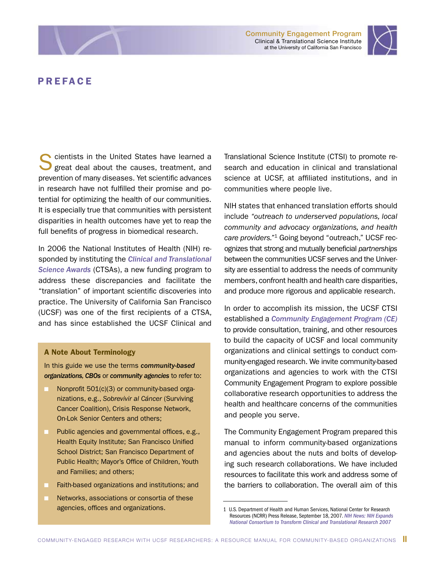Community Engagement Program Clinical & Translational Science Institute at the University of California San Francisco



### PREFACE

cientists in the United States have learned a great deal about the causes, treatment, and prevention of many diseases. Yet scientific advances in research have not fulfilled their promise and potential for optimizing the health of our communities. It is especially true that communities with persistent disparities in health outcomes have yet to reap the full benefits of progress in biomedical research.

In 2006 the National Institutes of Health (NIH) responded by instituting the *[Clinical and Translational](http://www.ctsaweb.org)  [Science Awards](http://www.ctsaweb.org)* (CTSAs), a new funding program to address these discrepancies and facilitate the "translation" of important scientific discoveries into practice. The University of California San Francisco (UCSF) was one of the first recipients of a CTSA, and has since established the UCSF Clinical and

#### A Note About Terminology

In this guide we use the terms *community-based organizations, CBOs* or *community agencies* to refer to:

- Nonprofit 501(c)(3) or community-based organizations, e.g., *Sobrevivir al Cáncer* (Surviving Cancer Coalition), Crisis Response Network, On-Lok Senior Centers and others;
- **n** Public agencies and governmental offices, e.g., Health Equity Institute; San Francisco Unified School District; San Francisco Department of Public Health; Mayor's Office of Children, Youth and Families; and others;
- Faith-based organizations and institutions; and
- Networks, associations or consortia of these agencies, offices and organizations.

Translational Science Institute (CTSI) to promote research and education in clinical and translational science at UCSF, at affiliated institutions, and in communities where people live.

NIH states that enhanced translation efforts should include *"outreach to underserved populations, local community and advocacy organizations, and health care providers."*1 Going beyond "outreach," UCSF recognizes that strong and mutually beneficial *partnerships* between the communities UCSF serves and the University are essential to address the needs of community members, confront health and health care disparities, and produce more rigorous and applicable research.

In order to accomplish its mission, the UCSF CTSI established a *[Community Engagement Program \(CE\)](http://ctsi.ucsf.edu/ce)* to provide consultation, training, and other resources to build the capacity of UCSF and local community organizations and clinical settings to conduct community-engaged research. We invite community-based organizations and agencies to work with the CTSI Community Engagement Program to explore possible collaborative research opportunities to address the health and healthcare concerns of the communities and people you serve.

The Community Engagement Program prepared this manual to inform community-based organizations and agencies about the nuts and bolts of developing such research collaborations. We have included resources to facilitate this work and address some of the barriers to collaboration. The overall aim of this

<sup>1</sup> U.S. Department of Health and Human Services, National Center for Research Resources (NCRR) Press Release, September 18, 2007. *[NIH News: NIH Expands](www.nih.gov/news/pr/sep2007/ncrr-18.htm) [National Consortium to Transform Clinical and Translational Research 2007](www.nih.gov/news/pr/sep2007/ncrr-18.htm)*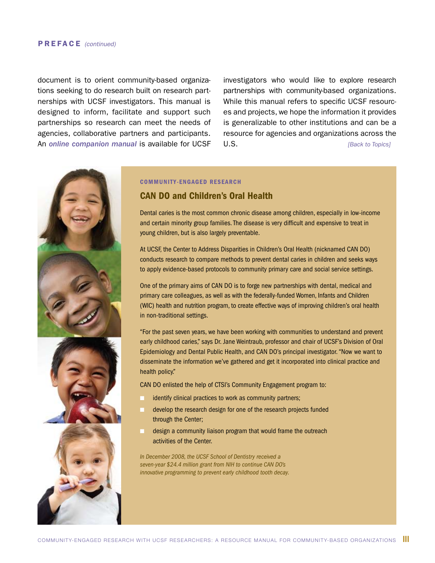#### PREFACE *(continued)*

document is to orient community-based organizations seeking to do research built on research partnerships with UCSF investigators. This manual is designed to inform, facilitate and support such partnerships so research can meet the needs of agencies, collaborative partners and participants. An *[online companion manual](http://ctsi.ucsf.edu/files/CE/manual_for_researchers_agencies.pdf)* is available for UCSF investigators who would like to explore research partnerships with community-based organizations. While this manual refers to specific UCSF resources and projects, we hope the information it provides is generalizable to other institutions and can be a resource for agencies and organizations across the U.S. *[\[Back to Topics\]](#page-2-0)*



#### COMMUNITY-ENGAGED RESEARCH

#### CAN DO and Children's Oral Health

Dental caries is the most common chronic disease among children, especially in low-income and certain minority group families. The disease is very difficult and expensive to treat in young children, but is also largely preventable.

At UCSF, the Center to Address Disparities in Children's Oral Health (nicknamed CAN DO) conducts research to compare methods to prevent dental caries in children and seeks ways to apply evidence-based protocols to community primary care and social service settings.

One of the primary aims of CAN DO is to forge new partnerships with dental, medical and primary care colleagues, as well as with the federally-funded Women, Infants and Children (WIC) health and nutrition program, to create effective ways of improving children's oral health in non-traditional settings.

"For the past seven years, we have been working with communities to understand and prevent early childhood caries," says Dr. Jane Weintraub, professor and chair of UCSF's Division of Oral Epidemiology and Dental Public Health, and CAN DO's principal investigator. "Now we want to disseminate the information we've gathered and get it incorporated into clinical practice and health policy."

CAN DO enlisted the help of CTSI's Community Engagement program to:

- identify clinical practices to work as community partners;
- develop the research design for one of the research projects funded through the Center;
- design a community liaison program that would frame the outreach activities of the Center.

*In December 2008, the UCSF School of Dentistry received a seven-year \$24.4 million grant from NIH to continue CAN DO's innovative programming to prevent early childhood tooth decay.*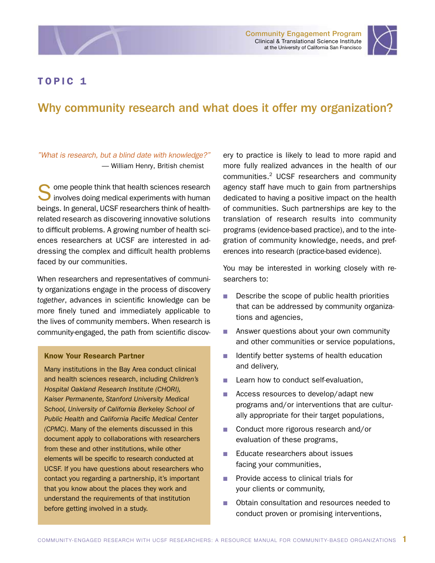<span id="page-5-0"></span>



# Why community research and what does it offer my organization?

#### *"What is research, but a blind date with knowledge?"*  — William Henry, British chemist

Some people think that health sciences research<br>
involves doing medical experiments with human beings. In general, UCSF researchers think of healthrelated research as discovering innovative solutions to difficult problems. A growing number of health sciences researchers at UCSF are interested in addressing the complex and difficult health problems faced by our communities.

When researchers and representatives of community organizations engage in the process of discovery *together*, advances in scientific knowledge can be more finely tuned and immediately applicable to the lives of community members. When research is community-engaged, the path from scientific discov-

#### Know Your Research Partner

Many institutions in the Bay Area conduct clinical and health sciences research, including *Children's Hospital Oakland Research Institute (CHORI), Kaiser Permanente, Stanford University Medical School, University of California Berkeley School of Public Health* and *California Pacific Medical Center (CPMC)*. Many of the elements discussed in this document apply to collaborations with researchers from these and other institutions, while other elements will be specific to research conducted at UCSF. If you have questions about researchers who contact you regarding a partnership, it's important that you know about the places they work and understand the requirements of that institution before getting involved in a study.

ery to practice is likely to lead to more rapid and more fully realized advances in the health of our communities.2 UCSF researchers and community agency staff have much to gain from partnerships dedicated to having a positive impact on the health of communities. Such partnerships are key to the translation of research results into community programs (evidence-based practice), and to the integration of community knowledge, needs, and preferences into research (practice-based evidence).

You may be interested in working closely with researchers to:

- **n** Describe the scope of public health priorities that can be addressed by community organizations and agencies,
- **n** Answer questions about your own community and other communities or service populations,
- **n** Identify better systems of health education and delivery,
- **n** Learn how to conduct self-evaluation,
- Access resources to develop/adapt new programs and/or interventions that are culturally appropriate for their target populations,
- Conduct more rigorous research and/or evaluation of these programs,
- Educate researchers about issues facing your communities,
- **n** Provide access to clinical trials for your clients or community,
- **n** Obtain consultation and resources needed to conduct proven or promising interventions,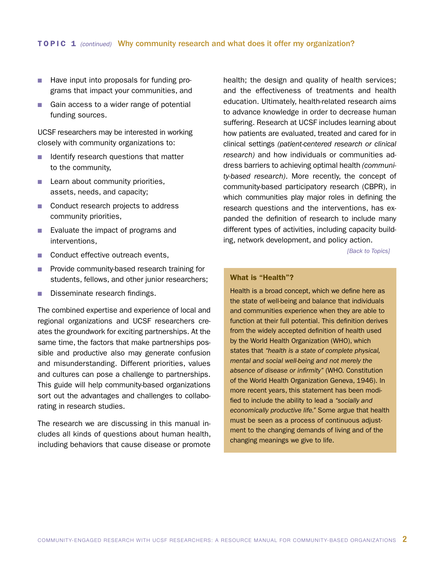- Have input into proposals for funding programs that impact your communities, and
- Gain access to a wider range of potential funding sources.

UCSF researchers may be interested in working closely with community organizations to:

- $\blacksquare$  Identify research questions that matter to the community,
- $\blacksquare$  Learn about community priorities, assets, needs, and capacity;
- Conduct research projects to address community priorities,
- **n** Evaluate the impact of programs and interventions,
- Conduct effective outreach events,
- **Provide community-based research training for** students, fellows, and other junior researchers;
- Disseminate research findings.

The combined expertise and experience of local and regional organizations and UCSF researchers creates the groundwork for exciting partnerships. At the same time, the factors that make partnerships possible and productive also may generate confusion and misunderstanding. Different priorities, values and cultures can pose a challenge to partnerships. This guide will help community-based organizations sort out the advantages and challenges to collaborating in research studies.

The research we are discussing in this manual includes all kinds of questions about human health, including behaviors that cause disease or promote health; the design and quality of health services; and the effectiveness of treatments and health education. Ultimately, health-related research aims to advance knowledge in order to decrease human suffering. Research at UCSF includes learning about how patients are evaluated, treated and cared for in clinical settings *(patient-centered research or clinical research)* and how individuals or communities address barriers to achieving optimal health *(community-based research)*. More recently, the concept of community-based participatory research (CBPR), in which communities play major roles in defining the research questions and the interventions, has expanded the definition of research to include many different types of activities, including capacity building, network development, and policy action.

*[\[Back to Topics\]](#page-2-0)*

#### What is "Health"?

Health is a broad concept, which we define here as the state of well-being and balance that individuals and communities experience when they are able to function at their full potential. This definition derives from the widely accepted definition of health used by the World Health Organization (WHO), which states that *"health is a state of complete physical, mental and social well-being and not merely the absence of disease or infirmity"* (WHO. Constitution of the World Health Organization Geneva, 1946). In more recent years, this statement has been modified to include the ability to lead a *"socially and economically productive life."* Some argue that health must be seen as a process of continuous adjustment to the changing demands of living and of the changing meanings we give to life.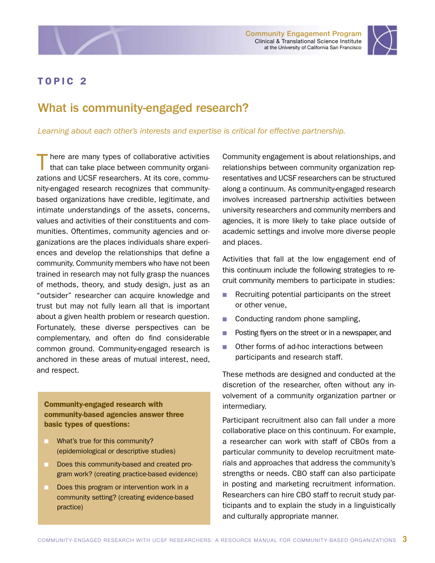<span id="page-7-0"></span>



# What is community-engaged research?

#### *Learning about each other's interests and expertise is critical for effective partnership.*

here are many types of collaborative activities that can take place between community organizations and UCSF researchers. At its core, community-engaged research recognizes that communitybased organizations have credible, legitimate, and intimate understandings of the assets, concerns, values and activities of their constituents and communities. Oftentimes, community agencies and organizations are the places individuals share experiences and develop the relationships that define a community. Community members who have not been trained in research may not fully grasp the nuances of methods, theory, and study design, just as an "outsider" researcher can acquire knowledge and trust but may not fully learn all that is important about a given health problem or research question. Fortunately, these diverse perspectives can be complementary, and often do find considerable common ground. Community-engaged research is anchored in these areas of mutual interest, need, and respect.

Community-engaged research with community-based agencies answer three basic types of questions:

- **No. 25 What's true for this community?** (epidemiological or descriptive studies)
- **n** Does this community-based and created program work? (creating practice-based evidence)
- Does this program or intervention work in a community setting? (creating evidence-based practice)

Community engagement is about relationships, and relationships between community organization representatives and UCSF researchers can be structured along a continuum. As community-engaged research involves increased partnership activities between university researchers and community members and agencies, it is more likely to take place outside of academic settings and involve more diverse people and places.

Activities that fall at the low engagement end of this continuum include the following strategies to recruit community members to participate in studies:

- Recruiting potential participants on the street or other venue,
- $\Box$  Conducting random phone sampling,
- **n** Posting flyers on the street or in a newspaper, and
- **n** Other forms of ad-hoc interactions between participants and research staff.

These methods are designed and conducted at the discretion of the researcher, often without any involvement of a community organization partner or intermediary.

Participant recruitment also can fall under a more collaborative place on this continuum. For example, a researcher can work with staff of CBOs from a particular community to develop recruitment materials and approaches that address the community's strengths or needs. CBO staff can also participate in posting and marketing recruitment information. Researchers can hire CBO staff to recruit study participants and to explain the study in a linguistically and culturally appropriate manner.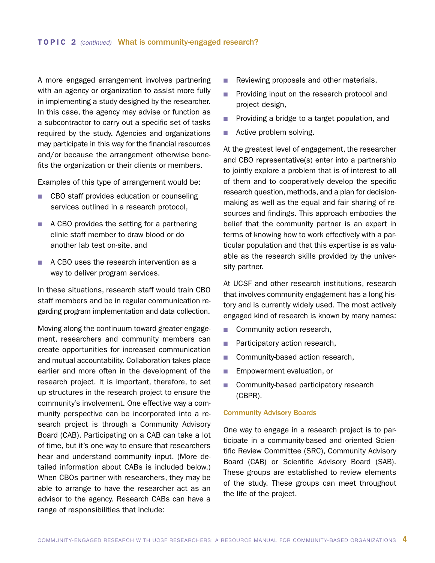A more engaged arrangement involves partnering with an agency or organization to assist more fully in implementing a study designed by the researcher. In this case, the agency may advise or function as a subcontractor to carry out a specific set of tasks required by the study. Agencies and organizations may participate in this way for the financial resources and/or because the arrangement otherwise benefits the organization or their clients or members.

Examples of this type of arrangement would be:

- CBO staff provides education or counseling services outlined in a research protocol,
- $\blacksquare$  A CBO provides the setting for a partnering clinic staff member to draw blood or do another lab test on-site, and
- A CBO uses the research intervention as a way to deliver program services.

In these situations, research staff would train CBO staff members and be in regular communication regarding program implementation and data collection.

Moving along the continuum toward greater engagement, researchers and community members can create opportunities for increased communication and mutual accountability. Collaboration takes place earlier and more often in the development of the research project. It is important, therefore, to set up structures in the research project to ensure the community's involvement. One effective way a community perspective can be incorporated into a research project is through a Community Advisory Board (CAB). Participating on a CAB can take a lot of time, but it's one way to ensure that researchers hear and understand community input. (More detailed information about CABs is included below.) When CBOs partner with researchers, they may be able to arrange to have the researcher act as an advisor to the agency. Research CABs can have a range of responsibilities that include:

- $\blacksquare$  Reviewing proposals and other materials,
- **n** Providing input on the research protocol and project design,
- **n** Providing a bridge to a target population, and
- **n** Active problem solving.

At the greatest level of engagement, the researcher and CBO representative(s) enter into a partnership to jointly explore a problem that is of interest to all of them and to cooperatively develop the specific research question, methods, and a plan for decisionmaking as well as the equal and fair sharing of resources and findings. This approach embodies the belief that the community partner is an expert in terms of knowing how to work effectively with a particular population and that this expertise is as valuable as the research skills provided by the university partner.

At UCSF and other research institutions, research that involves community engagement has a long history and is currently widely used. The most actively engaged kind of research is known by many names:

- **n** Community action research,
- **n** Participatory action research,
- Community-based action research,
- **n** Empowerment evaluation, or
- **n** Community-based participatory research (CBPR).

#### Community Advisory Boards

One way to engage in a research project is to participate in a community-based and oriented Scientific Review Committee (SRC), Community Advisory Board (CAB) or Scientific Advisory Board (SAB). These groups are established to review elements of the study. These groups can meet throughout the life of the project.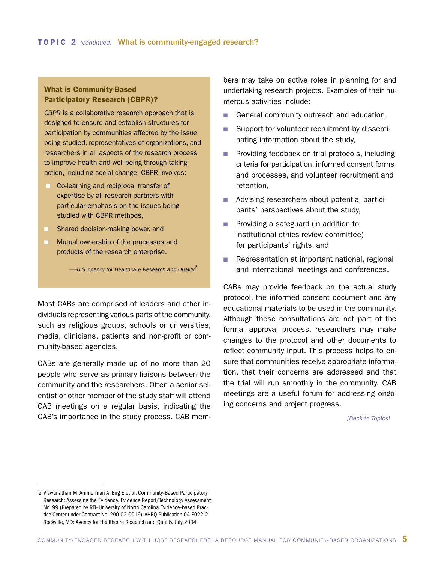#### What is Community-Based Participatory Research (CBPR)?

*CBPR* is a collaborative research approach that is designed to ensure and establish structures for participation by communities affected by the issue being studied, representatives of organizations, and researchers in all aspects of the research process to improve health and well-being through taking action, including social change. CBPR involves:

- **n** Co-learning and reciprocal transfer of expertise by all research partners with particular emphasis on the issues being studied with CBPR methods,
- Shared decision-making power, and
- Mutual ownership of the processes and products of the research enterprise.

—*U.S. Agency for Healthcare Research and Quality*<sup>2</sup>

Most CABs are comprised of leaders and other individuals representing various parts of the community, such as religious groups, schools or universities, media, clinicians, patients and non-profit or community-based agencies.

CABs are generally made up of no more than 20 people who serve as primary liaisons between the community and the researchers. Often a senior scientist or other member of the study staff will attend CAB meetings on a regular basis, indicating the CAB's importance in the study process. CAB members may take on active roles in planning for and undertaking research projects. Examples of their numerous activities include:

- General community outreach and education,
- Support for volunteer recruitment by disseminating information about the study,
- **n** Providing feedback on trial protocols, including criteria for participation, informed consent forms and processes, and volunteer recruitment and retention,
- Advising researchers about potential participants' perspectives about the study,
- **n** Providing a safeguard (in addition to institutional ethics review committee) for participants' rights, and
- **n** Representation at important national, regional and international meetings and conferences.

CABs may provide feedback on the actual study protocol, the informed consent document and any educational materials to be used in the community. Although these consultations are not part of the formal approval process, researchers may make changes to the protocol and other documents to reflect community input. This process helps to ensure that communities receive appropriate information, that their concerns are addressed and that the trial will run smoothly in the community. CAB meetings are a useful forum for addressing ongoing concerns and project progress.

*[\[Back to Topics\]](#page-2-0)*

<sup>2</sup> Viswanathan M, Ammerman A, Eng E et al. Community-Based Participatory Research: Assessing the Evidence. Evidence Report/Technology Assessment No. 99 (Prepared by RTI–University of North Carolina Evidence-based Practice Center under Contract No. 290-02-0016). AHRQ Publication 04-E022-2. Rockville, MD: Agency for Healthcare Research and Quality. July 2004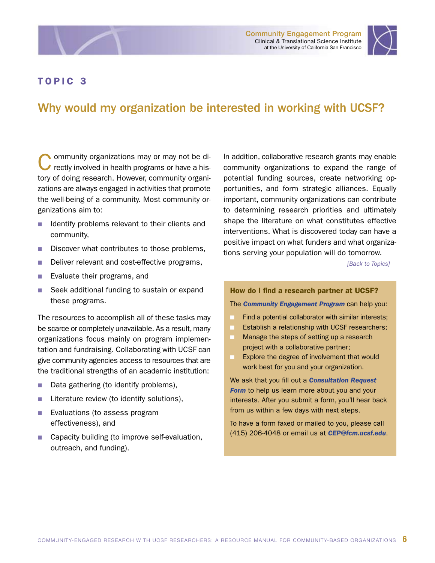<span id="page-10-0"></span>



# Why would my organization be interested in working with UCSF?

Community organizations may or may not be directly involved in health programs or have a history of doing research. However, community organizations are always engaged in activities that promote the well-being of a community. Most community organizations aim to:

- $\blacksquare$  Identify problems relevant to their clients and community,
- Discover what contributes to those problems,
- Deliver relevant and cost-effective programs,
- **n** Evaluate their programs, and
- Seek additional funding to sustain or expand these programs.

The resources to accomplish all of these tasks may be scarce or completely unavailable. As a result, many organizations focus mainly on program implementation and fundraising. Collaborating with UCSF can give community agencies access to resources that are the traditional strengths of an academic institution:

- Data gathering (to identify problems),
- **n** Literature review (to identify solutions),
- **Exaluations (to assess program** effectiveness), and
- Capacity building (to improve self-evaluation, outreach, and funding).

In addition, collaborative research grants may enable community organizations to expand the range of potential funding sources, create networking opportunities, and form strategic alliances. Equally important, community organizations can contribute to determining research priorities and ultimately shape the literature on what constitutes effective interventions. What is discovered today can have a positive impact on what funders and what organizations serving your population will do tomorrow.

*[\[Back to Topics\]](#page-2-0)*

#### How do I find a research partner at UCSF?

The *[Community Engagement Program](http://ctsi.ucsf.edu/community/working-with-researchers)* can help you:

- **n** Find a potential collaborator with similar interests;
- **Example 20 Establish a relationship with UCSF researchers;**
- Manage the steps of setting up a research project with a collaborative partner;
- **EXPLORE THE EXPLORE CONCRETE SHOW EXPLORER EXPLORER** work best for you and your organization.

We ask that you fill out a *[Consultation Request](http://www.ctsi.ucsf.edu/consult)*  **[Form](http://www.ctsi.ucsf.edu/consult)** to help us learn more about you and your interests. After you submit a form, you'll hear back from us within a few days with next steps.

To have a form faxed or mailed to you, please call (415) 206-4048 or email us at *[CEP@fcm.ucsf.edu](mailto:CEP@fcm.ucsf.edu)*.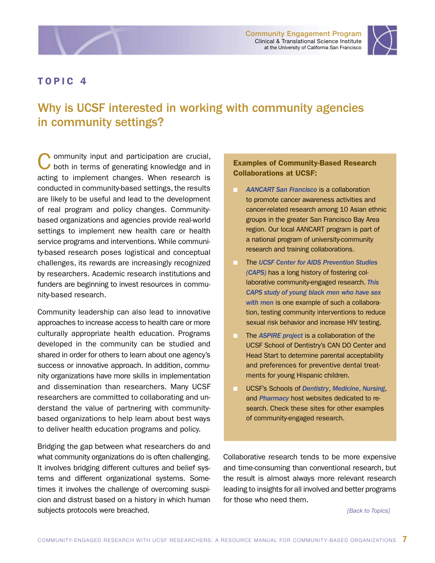Community Engagement Program Clinical & Translational Science Institute at the University of California San Francisco



### <span id="page-11-0"></span>TOPIC 4

# Why is UCSF interested in working with community agencies in community settings?

**Ommunity input and participation are crucial,** both in terms of generating knowledge and in acting to implement changes. When research is conducted in community-based settings, the results are likely to be useful and lead to the development of real program and policy changes. Communitybased organizations and agencies provide real-world settings to implement new health care or health service programs and interventions. While community-based research poses logistical and conceptual challenges, its rewards are increasingly recognized by researchers. Academic research institutions and funders are beginning to invest resources in community-based research.

Community leadership can also lead to innovative approaches to increase access to health care or more culturally appropriate health education. Programs developed in the community can be studied and shared in order for others to learn about one agency's success or innovative approach. In addition, community organizations have more skills in implementation and dissemination than researchers. Many UCSF researchers are committed to collaborating and understand the value of partnering with communitybased organizations to help learn about best ways to deliver health education programs and policy.

Bridging the gap between what researchers do and what community organizations do is often challenging. It involves bridging different cultures and belief systems and different organizational systems. Sometimes it involves the challenge of overcoming suspicion and distrust based on a history in which human subjects protocols were breached.

#### Examples of Community-Based Research Collaborations at UCSF:

- n *[AANCART San Francisco](http://www.suckhoelavang.org/aancart/index.html)* is a collaboration to promote cancer awareness activities and cancer-related research among 10 Asian ethnic groups in the greater San Francisco Bay Area region. Our local AANCART program is part of a national program of university-community research and training collaborations.
- n The *[UCSF Center for AIDS Prevention Studies](http://www.caps.ucsf.edu/projects/collaboration/) (CAPS)* has a long history of fostering collaborative community-engaged research. *[This](http://www.caps.ucsf.edu/research/portfolio/2007/Prev3.pdf)  [CAPS study of young black men who have sex](http://www.caps.ucsf.edu/research/portfolio/2007/Prev3.pdf)  [with men](http://www.caps.ucsf.edu/research/portfolio/2007/Prev3.pdf)* is one example of such a collaboration, testing community interventions to reduce sexual risk behavior and increase HIV testing.
- The **ASPIRE** project is a collaboration of the UCSF School of Dentistry's CAN DO Center and Head Start to determine parental acceptability and preferences for preventive dental treatments for young Hispanic children.
- n UCSF's Schools of *[Dentistry](http://dentistry.ucsf.edu/research/research_main.html)*, *[Medicine](http://medschool.ucsf.edu/research)*, *[Nursing](http://nurseweb.ucsf.edu/www/ix-rs.shtml)*, and *[Pharmacy](http://pharmacy.ucsf.edu/research)* host websites dedicated to research. Check these sites for other examples of community-engaged research.

Collaborative research tends to be more expensive and time-consuming than conventional research, but the result is almost always more relevant research leading to insights for all involved and better programs for those who need them.

*[\[Back to Topics\]](#page-2-0)*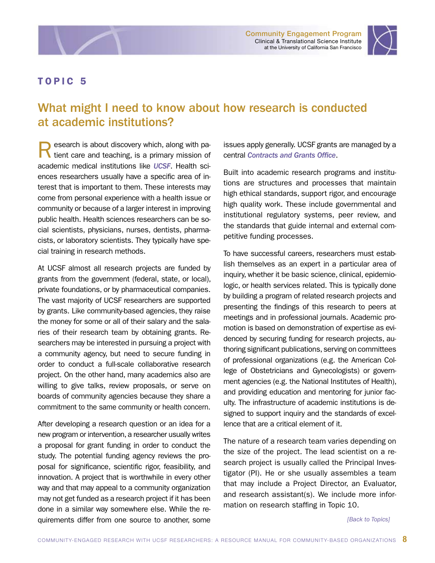



# <span id="page-12-0"></span>What might I need to know about how research is conducted at academic institutions?

esearch is about discovery which, along with pa-If tient care and teaching, is a primary mission of academic medical institutions like *[UCSF](http://www.ucsf.edu/research/)*. Health sciences researchers usually have a specific area of interest that is important to them. These interests may come from personal experience with a health issue or community or because of a larger interest in improving public health. Health sciences researchers can be social scientists, physicians, nurses, dentists, pharmacists, or laboratory scientists. They typically have special training in research methods.

At UCSF almost all research projects are funded by grants from the government (federal, state, or local), private foundations, or by pharmaceutical companies. The vast majority of UCSF researchers are supported by grants. Like community-based agencies, they raise the money for some or all of their salary and the salaries of their research team by obtaining grants. Researchers may be interested in pursuing a project with a community agency, but need to secure funding in order to conduct a full-scale collaborative research project. On the other hand, many academics also are willing to give talks, review proposals, or serve on boards of community agencies because they share a commitment to the same community or health concern.

After developing a research question or an idea for a new program or intervention, a researcher usually writes a proposal for grant funding in order to conduct the study. The potential funding agency reviews the proposal for significance, scientific rigor, feasibility, and innovation. A project that is worthwhile in every other way and that may appeal to a community organization may not get funded as a research project if it has been done in a similar way somewhere else. While the requirements differ from one source to another, some

issues apply generally. UCSF grants are managed by a central *[Contracts and Grants Office](http://or.ucsf.edu/cg/cg.html)*.

Built into academic research programs and institutions are structures and processes that maintain high ethical standards, support rigor, and encourage high quality work. These include governmental and institutional regulatory systems, peer review, and the standards that guide internal and external competitive funding processes.

To have successful careers, researchers must establish themselves as an expert in a particular area of inquiry, whether it be basic science, clinical, epidemiologic, or health services related. This is typically done by building a program of related research projects and presenting the findings of this research to peers at meetings and in professional journals. Academic promotion is based on demonstration of expertise as evidenced by securing funding for research projects, authoring significant publications, serving on committees of professional organizations (e.g. the American College of Obstetricians and Gynecologists) or government agencies (e.g. the National Institutes of Health), and providing education and mentoring for junior faculty. The infrastructure of academic institutions is designed to support inquiry and the standards of excellence that are a critical element of it.

The nature of a research team varies depending on the size of the project. The lead scientist on a research project is usually called the Principal Investigator (PI). He or she usually assembles a team that may include a Project Director, an Evaluator, and research assistant(s). We include more information on research staffing in Topic 10.

*[\[Back to Topics\]](#page-2-0)*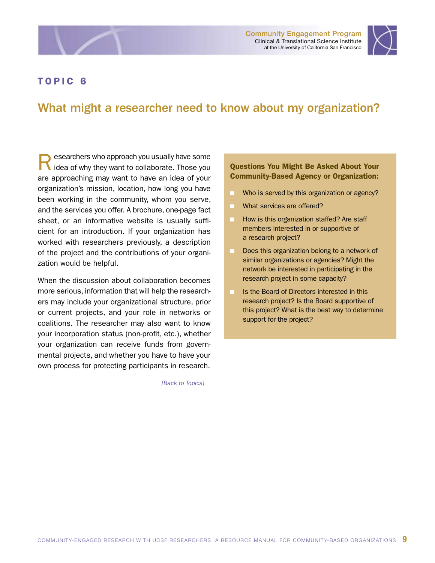<span id="page-13-0"></span>



# What might a researcher need to know about my organization?

**Researchers who approach you usually have some idea of why they want to collaborate. Those you** are approaching may want to have an idea of your organization's mission, location, how long you have been working in the community, whom you serve, and the services you offer. A brochure, one-page fact sheet, or an informative website is usually sufficient for an introduction. If your organization has worked with researchers previously, a description of the project and the contributions of your organization would be helpful.

When the discussion about collaboration becomes more serious, information that will help the researchers may include your organizational structure, prior or current projects, and your role in networks or coalitions. The researcher may also want to know your incorporation status (non-profit, etc.), whether your organization can receive funds from governmental projects, and whether you have to have your own process for protecting participants in research.

*[\[Back to Topics\]](#page-2-0)*

#### Questions You Might Be Asked About Your Community-Based Agency or Organization:

- Who is served by this organization or agency?
- What services are offered?
- How is this organization staffed? Are staff members interested in or supportive of a research project?
- Does this organization belong to a network of similar organizations or agencies? Might the network be interested in participating in the research project in some capacity?
- Is the Board of Directors interested in this research project? Is the Board supportive of this project? What is the best way to determine support for the project?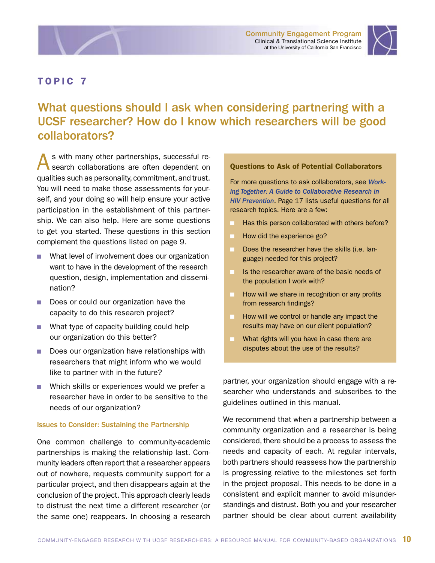<span id="page-14-0"></span>



# What questions should I ask when considering partnering with a UCSF researcher? How do I know which researchers will be good collaborators?

s with many other partnerships, successful research collaborations are often dependent on qualities such as personality, commitment, and trust. You will need to make those assessments for yourself, and your doing so will help ensure your active participation in the establishment of this partnership. We can also help. Here are some questions to get you started. These questions in this section complement the questions listed on page 9.

- What level of involvement does our organization want to have in the development of the research question, design, implementation and dissemination?
- Does or could our organization have the capacity to do this research project?
- **No. 2018** What type of capacity building could help our organization do this better?
- Does our organization have relationships with researchers that might inform who we would like to partner with in the future?
- Which skills or experiences would we prefer a researcher have in order to be sensitive to the needs of our organization?

#### Issues to Consider: Sustaining the Partnership

One common challenge to community-academic partnerships is making the relationship last. Community leaders often report that a researcher appears out of nowhere, requests community support for a particular project, and then disappears again at the conclusion of the project. This approach clearly leads to distrust the next time a different researcher (or the same one) reappears. In choosing a research

#### Questions to Ask of Potential Collaborators

For more questions to ask collaborators, see *[Work](http://www.caps.ucsf.edu/pubs/manuals)[ing Together: A Guide to Collaborative Research in](http://www.caps.ucsf.edu/pubs/manuals)  [HIV Prevention](http://www.caps.ucsf.edu/pubs/manuals)*. Page 17 lists useful questions for all research topics. Here are a few:

- Has this person collaborated with others before?
- How did the experience go?
- Does the researcher have the skills (i.e. language) needed for this project?
- Is the researcher aware of the basic needs of the population I work with?
- **n** How will we share in recognition or any profits from research findings?
- **n** How will we control or handle any impact the results may have on our client population?
- **No. 2015** What rights will you have in case there are disputes about the use of the results?

partner, your organization should engage with a researcher who understands and subscribes to the guidelines outlined in this manual.

We recommend that when a partnership between a community organization and a researcher is being considered, there should be a process to assess the needs and capacity of each. At regular intervals, both partners should reassess how the partnership is progressing relative to the milestones set forth in the project proposal. This needs to be done in a consistent and explicit manner to avoid misunderstandings and distrust. Both you and your researcher partner should be clear about current availability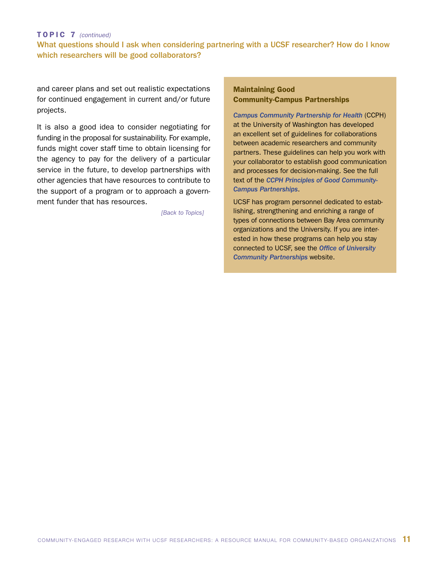#### TOPIC 7 *(continued)*

#### What questions should I ask when considering partnering with a UCSF researcher? How do I know which researchers will be good collaborators?

and career plans and set out realistic expectations for continued engagement in current and/or future projects.

It is also a good idea to consider negotiating for funding in the proposal for sustainability. For example, funds might cover staff time to obtain licensing for the agency to pay for the delivery of a particular service in the future, to develop partnerships with other agencies that have resources to contribute to the support of a program or to approach a government funder that has resources.

*[\[Back to Topics\]](#page-2-0)*

#### Maintaining Good Community-Campus Partnerships

*[Campus Community Partnership for Health](http://depts.washington.edu/ccph/index.html)* (CCPH) at the University of Washington has developed an excellent set of guidelines for collaborations between academic researchers and community partners. These guidelines can help you work with your collaborator to establish good communication and processes for decision-making. See the full text of the *[CCPH Principles of Good Community-](http://depts.washington.edu/ccph.principles.html#principles)[Campus Partnerships](http://depts.washington.edu/ccph.principles.html#principles)*.

UCSF has program personnel dedicated to establishing, strengthening and enriching a range of types of connections between Bay Area community organizations and the University. If you are interested in how these programs can help you stay connected to UCSF, see the *[Office of University](http://sf.ucsf.edu)  [Community Partnerships](http://sf.ucsf.edu)* website.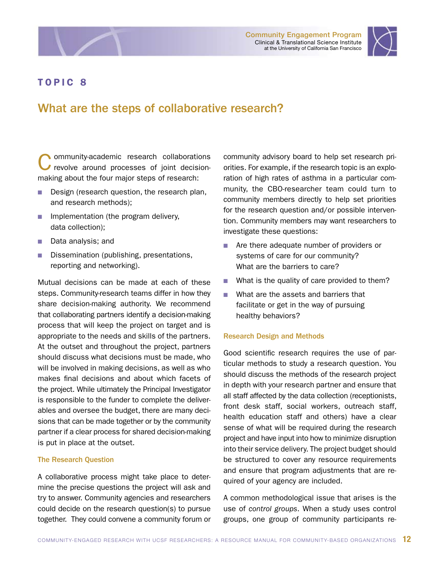<span id="page-16-0"></span>



# What are the steps of collaborative research?

Community-academic research collaborations<br>
revolve around processes of joint decisionmaking about the four major steps of research:

- Design (research question, the research plan, and research methods);
- **n** Implementation (the program delivery, data collection);
- Data analysis; and
- Dissemination (publishing, presentations, reporting and networking).

Mutual decisions can be made at each of these steps. Community-research teams differ in how they share decision-making authority. We recommend that collaborating partners identify a decision-making process that will keep the project on target and is appropriate to the needs and skills of the partners. At the outset and throughout the project, partners should discuss what decisions must be made, who will be involved in making decisions, as well as who makes final decisions and about which facets of the project. While ultimately the Principal Investigator is responsible to the funder to complete the deliverables and oversee the budget, there are many decisions that can be made together or by the community partner if a clear process for shared decision-making is put in place at the outset.

#### The Research Question

A collaborative process might take place to determine the precise questions the project will ask and try to answer. Community agencies and researchers could decide on the research question(s) to pursue together. They could convene a community forum or

community advisory board to help set research priorities. For example, if the research topic is an exploration of high rates of asthma in a particular community, the CBO-researcher team could turn to community members directly to help set priorities for the research question and/or possible intervention. Community members may want researchers to investigate these questions:

- Are there adequate number of providers or systems of care for our community? What are the barriers to care?
- $\blacksquare$  What is the quality of care provided to them?
- What are the assets and barriers that facilitate or get in the way of pursuing healthy behaviors?

#### Research Design and Methods

Good scientific research requires the use of particular methods to study a research question. You should discuss the methods of the research project in depth with your research partner and ensure that all staff affected by the data collection (receptionists, front desk staff, social workers, outreach staff, health education staff and others) have a clear sense of what will be required during the research project and have input into how to minimize disruption into their service delivery. The project budget should be structured to cover any resource requirements and ensure that program adjustments that are required of your agency are included.

A common methodological issue that arises is the use of *control groups*. When a study uses control groups, one group of community participants re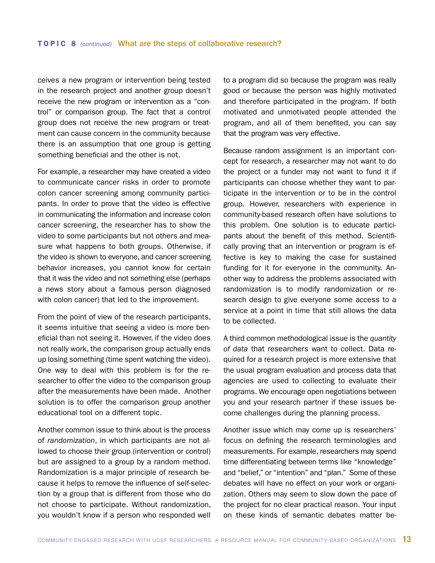ceives a new program or intervention being tested in the research project and another group doesn't receive the new program or intervention as a "control" or comparison group. The fact that a control group does not receive the new program or treatment can cause concern in the community because there is an assumption that one group is getting something beneficial and the other is not.

For example, a researcher may have created a video to communicate cancer risks in order to promote colon cancer screening among community participants. In order to prove that the video is effective in communicating the information and increase colon cancer screening, the researcher has to show the video to some participants but not others and measure what happens to both groups. Otherwise, if the video is shown to everyone, and cancer screening behavior increases, you cannot know for certain that it was the video and not something else (perhaps a news story about a famous person diagnosed with colon cancer) that led to the improvement.

From the point of view of the research participants, it seems intuitive that seeing a video is more beneficial than not seeing it. However, if the video does not really work, the comparison group actually ends up losing something (time spent watching the video). One way to deal with this problem is for the researcher to offer the video to the comparison group after the measurements have been made. Another solution is to offer the comparison group another educational tool on a different topic.

Another common issue to think about is the process of *randomization*, in which participants are not allowed to choose their group (intervention or control) but are assigned to a group by a random method. Randomization is a major principle of research because it helps to remove the influence of self-selection by a group that is different from those who do not choose to participate. Without randomization, you wouldn't know if a person who responded well

to a program did so because the program was really good or because the person was highly motivated and therefore participated in the program. If both motivated and unmotivated people attended the program, and all of them benefited, you can say that the program was very effective.

Because random assignment is an important concept for research, a researcher may not want to do the project or a funder may not want to fund it if participants can choose whether they want to participate in the intervention or to be in the control group. However, researchers with experience in community-based research often have solutions to this problem. One solution is to educate participants about the benefit of this method. Scientifically proving that an intervention or program is effective is key to making the case for sustained funding for it for everyone in the community. Another way to address the problems associated with randomization is to modify randomization or research design to give everyone some access to a service at a point in time that still allows the data to be collected.

A third common methodological issue is the *quantity of data* that researchers want to collect. Data required for a research project is more extensive that the usual program evaluation and process data that agencies are used to collecting to evaluate their programs. We encourage open negotiations between you and your research partner if these issues become challenges during the planning process.

Another issue which may come up is researchers' focus on defining the research terminologies and measurements. For example, researchers may spend time differentiating between terms like "knowledge" and "belief," or "intention" and "plan." Some of these debates will have no effect on your work or organization. Others may seem to slow down the pace of the project for no clear practical reason. Your input on these kinds of semantic debates matter be-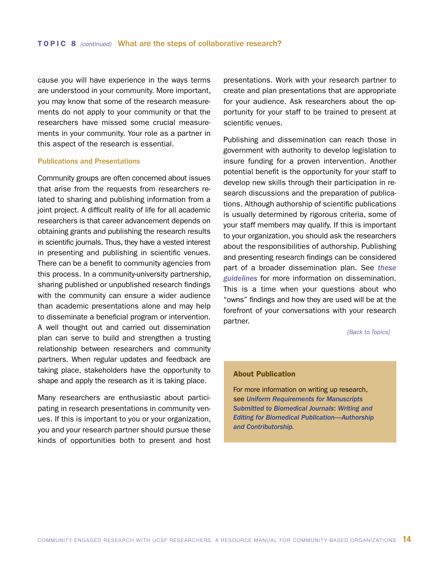cause you will have experience in the ways terms are understood in your community. More important, you may know that some of the research measurements do not apply to your community or that the researchers have missed some crucial measurements in your community. Your role as a partner in this aspect of the research is essential.

#### Publications and Presentations

Community groups are often concerned about issues that arise from the requests from researchers related to sharing and publishing information from a joint project. A difficult reality of life for all academic researchers is that career advancement depends on obtaining grants and publishing the research results in scientific journals. Thus, they have a vested interest in presenting and publishing in scientific venues. There can be a benefit to community agencies from this process. In a community-university partnership, sharing published or unpublished research findings with the community can ensure a wider audience than academic presentations alone and may help to disseminate a beneficial program or intervention. A well thought out and carried out dissemination plan can serve to build and strengthen a trusting relationship between researchers and community partners. When regular updates and feedback are taking place, stakeholders have the opportunity to shape and apply the research as it is taking place.

Many researchers are enthusiastic about participating in research presentations in community venues. If this is important to you or your organization, you and your research partner should pursue these kinds of opportunities both to present and host presentations. Work with your research partner to create and plan presentations that are appropriate for your audience. Ask researchers about the opportunity for your staff to be trained to present at scientific venues.

Publishing and dissemination can reach those in government with authority to develop legislation to insure funding for a proven intervention. Another potential benefit is the opportunity for your staff to develop new skills through their participation in research discussions and the preparation of publications. Although authorship of scientific publications is usually determined by rigorous criteria, some of your staff members may qualify. If this is important to your organization, you should ask the researchers about the responsibilities of authorship. Publishing and presenting research findings can be considered part of a broader dissemination plan. See *[these](http://www.caps.ucsf.edu/projects/collaboration/dissemination.php)  [guidelines](http://www.caps.ucsf.edu/projects/collaboration/dissemination.php)* for more information on dissemination. This is a time when your questions about who "owns" findings and how they are used will be at the forefront of your conversations with your research partner.

*[\[Back to Topics\]](#page-2-0)*

#### About Publication

For more information on writing up research, see *[Uniform Requirements for Manuscripts](http://www.icmje.org/#author)  [Submitted to Biomedical Journals](http://www.icmje.org/#author)*: *Writing and [Editing for Biomedical Publication—Authorship](http://www.icmje.org/#author)  [and Contributorship.](http://www.icmje.org/#author)*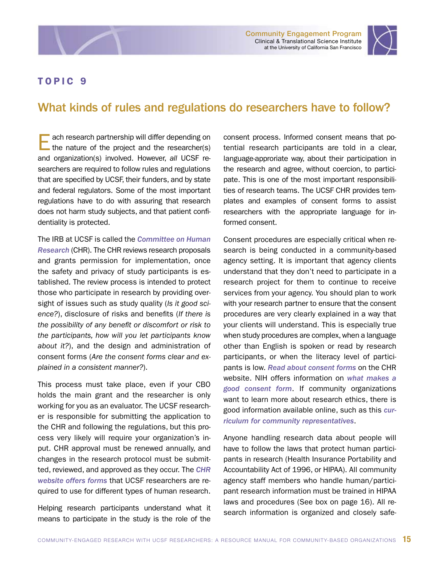Community Engagement Program Clinical & Translational Science Institute at the University of California San Francisco



### <span id="page-19-0"></span>TOPIC 9

# What kinds of rules and regulations do researchers have to follow?

ach research partnership will differ depending on the nature of the project and the researcher(s) and organization(s) involved. However, *all* UCSF researchers are required to follow rules and regulations that are specified by UCSF, their funders, and by state and federal regulators. Some of the most important regulations have to do with assuring that research does not harm study subjects, and that patient confidentiality is protected.

The IRB at UCSF is called the *[Committee on Human](http://www.research.ucsf.edu/chr/Contact/chrContact.asp)  [Research](http://www.research.ucsf.edu/chr/Contact/chrContact.asp)* (CHR). The CHR reviews research proposals and grants permission for implementation, once the safety and privacy of study participants is established. The review process is intended to protect those who participate in research by providing oversight of issues such as study quality (*Is it good science?*), disclosure of risks and benefits (*If there is the possibility of any benefit or discomfort or risk to the participants, how will you let participants know about it?*), and the design and administration of consent forms (*Are the consent forms clear and explained in a consistent manner?*).

This process must take place, even if your CBO holds the main grant and the researcher is only working for you as an evaluator. The UCSF researcher is responsible for submitting the application to the CHR and following the regulations, but this process very likely will require your organization's input. CHR approval must be renewed annually, and changes in the research protocol must be submitted, reviewed, and approved as they occur. The *[CHR](http://www.research.ucsf.edu/chr/Forms/chrForms.asp)  [website offers forms](http://www.research.ucsf.edu/chr/Forms/chrForms.asp)* that UCSF researchers are required to use for different types of human research.

Helping research participants understand what it means to participate in the study is the role of the

consent process. Informed consent means that potential research participants are told in a clear, language-approriate way, about their participation in the research and agree, without coercion, to participate. This is one of the most important responsibilities of research teams. The UCSF CHR provides templates and examples of consent forms to assist researchers with the appropriate language for informed consent.

Consent procedures are especially critical when research is being conducted in a community-based agency setting. It is important that agency clients understand that they don't need to participate in a research project for them to continue to receive services from your agency. You should plan to work with your research partner to ensure that the consent procedures are very clearly explained in a way that your clients will understand. This is especially true when study procedures are complex, when a language other than English is spoken or read by research participants, or when the literacy level of participants is low. *[Read about consent forms](http://www.research.ucsf.edu/chr/Recruit/chrRC.asp)* on the CHR website. NIH offers information on *[what makes a](http://ohsr.od.nih.gov/info/sheet6.html)  [good consent form](http://ohsr.od.nih.gov/info/sheet6.html)*. If community organizations want to learn more about research ethics, there is good information available online, such as this *[cur](http://www.fhi.org/en/RH/Training/trainmat/ethicscurr/RETCCREn/index.htm)[riculum for community representatives](http://www.fhi.org/en/RH/Training/trainmat/ethicscurr/RETCCREn/index.htm)*.

Anyone handling research data about people will have to follow the laws that protect human participants in research (Health Insurance Portability and Accountability Act of 1996, or HIPAA). All community agency staff members who handle human/participant research information must be trained in HIPAA laws and procedures (See box on page 16). All research information is organized and closely safe-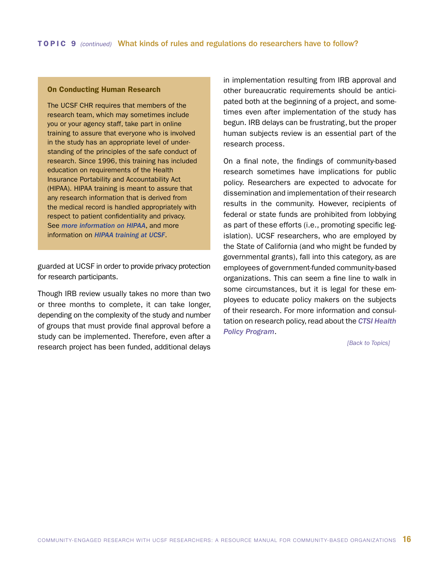#### On Conducting Human Research

The UCSF CHR requires that members of the research team, which may sometimes include you or your agency staff, take part in online training to assure that everyone who is involved in the study has an appropriate level of understanding of the principles of the safe conduct of research. Since 1996, this training has included education on requirements of the Health Insurance Portability and Accountability Act (HIPAA). HIPAA training is meant to assure that any research information that is derived from the medical record is handled appropriately with respect to patient confidentiality and privacy. See *[more information on HIPAA](http://www.hhs.gov/ocr/privacy/index.html)*, and more information on *[HIPAA training at UCSF](http://www.research.ucsf.edu/chr/HIPAA/chrHIPAAtrng.asp)*.

guarded at UCSF in order to provide privacy protection for research participants.

Though IRB review usually takes no more than two or three months to complete, it can take longer, depending on the complexity of the study and number of groups that must provide final approval before a study can be implemented. Therefore, even after a research project has been funded, additional delays in implementation resulting from IRB approval and other bureaucratic requirements should be anticipated both at the beginning of a project, and sometimes even after implementation of the study has begun. IRB delays can be frustrating, but the proper human subjects review is an essential part of the research process.

On a final note, the findings of community-based research sometimes have implications for public policy. Researchers are expected to advocate for dissemination and implementation of their research results in the community. However, recipients of federal or state funds are prohibited from lobbying as part of these efforts (i.e., promoting specific legislation). UCSF researchers, who are employed by the State of California (and who might be funded by governmental grants), fall into this category, as are employees of government-funded community-based organizations. This can seem a fine line to walk in some circumstances, but it is legal for these employees to educate policy makers on the subjects of their research. For more information and consultation on research policy, read about the *[CTSI Health](http://ctsi.ucsf.edu/about/programs/hp)  [Policy Program](http://ctsi.ucsf.edu/about/programs/hp)*.

*[\[Back to Topics\]](#page-2-0)*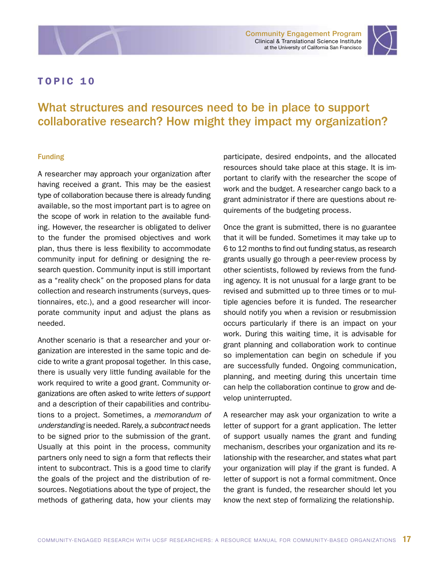<span id="page-21-0"></span>



# What structures and resources need to be in place to support collaborative research? How might they impact my organization?

#### Funding

A researcher may approach your organization after having received a grant. This may be the easiest type of collaboration because there is already funding available, so the most important part is to agree on the scope of work in relation to the available funding. However, the researcher is obligated to deliver to the funder the promised objectives and work plan, thus there is less flexibility to accommodate community input for defining or designing the research question. Community input is still important as a "reality check" on the proposed plans for data collection and research instruments (surveys, questionnaires, etc.), and a good researcher will incorporate community input and adjust the plans as needed.

Another scenario is that a researcher and your organization are interested in the same topic and decide to write a grant proposal together. In this case, there is usually very little funding available for the work required to write a good grant. Community organizations are often asked to write *letters of support* and a description of their capabilities and contributions to a project. Sometimes, a *memorandum of understanding* is needed. Rarely, a *subcontract* needs to be signed prior to the submission of the grant. Usually at this point in the process, community partners only need to sign a form that reflects their intent to subcontract. This is a good time to clarify the goals of the project and the distribution of resources. Negotiations about the type of project, the methods of gathering data, how your clients may

participate, desired endpoints, and the allocated resources should take place at this stage. It is important to clarify with the researcher the scope of work and the budget. A researcher cango back to a grant administrator if there are questions about requirements of the budgeting process.

Once the grant is submitted, there is no guarantee that it will be funded. Sometimes it may take up to 6 to 12 months to find out funding status, as research grants usually go through a peer-review process by other scientists, followed by reviews from the funding agency. It is not unusual for a large grant to be revised and submitted up to three times or to multiple agencies before it is funded. The researcher should notify you when a revision or resubmission occurs particularly if there is an impact on your work. During this waiting time, it is advisable for grant planning and collaboration work to continue so implementation can begin on schedule if you are successfully funded. Ongoing communication, planning, and meeting during this uncertain time can help the collaboration continue to grow and develop uninterrupted.

A researcher may ask your organization to write a letter of support for a grant application. The letter of support usually names the grant and funding mechanism, describes your organization and its relationship with the researcher, and states what part your organization will play if the grant is funded. A letter of support is not a formal commitment. Once the grant is funded, the researcher should let you know the next step of formalizing the relationship.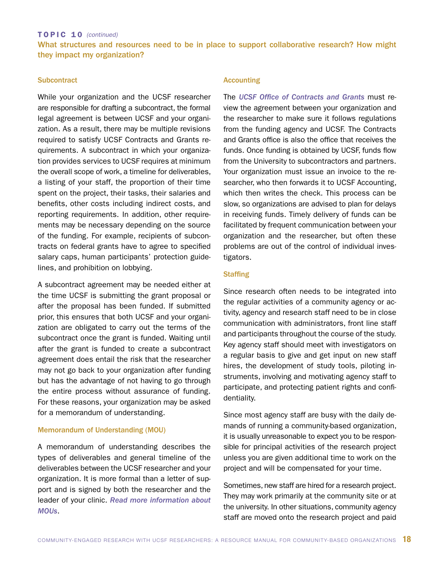#### TOPIC 10 *(continued)*

What structures and resources need to be in place to support collaborative research? How might they impact my organization?

#### **Subcontract**

While your organization and the UCSF researcher are responsible for drafting a subcontract, the formal legal agreement is between UCSF and your organization. As a result, there may be multiple revisions required to satisfy UCSF Contracts and Grants requirements. A subcontract in which your organization provides services to UCSF requires at minimum the overall scope of work, a timeline for deliverables, a listing of your staff, the proportion of their time spent on the project, their tasks, their salaries and benefits, other costs including indirect costs, and reporting requirements. In addition, other requirements may be necessary depending on the source of the funding. For example, recipients of subcontracts on federal grants have to agree to specified salary caps, human participants' protection guidelines, and prohibition on lobbying.

A subcontract agreement may be needed either at the time UCSF is submitting the grant proposal or after the proposal has been funded. If submitted prior, this ensures that both UCSF and your organization are obligated to carry out the terms of the subcontract once the grant is funded. Waiting until after the grant is funded to create a subcontract agreement does entail the risk that the researcher may not go back to your organization after funding but has the advantage of not having to go through the entire process without assurance of funding. For these reasons, your organization may be asked for a memorandum of understanding.

#### Memorandum of Understanding (MOU)

A memorandum of understanding describes the types of deliverables and general timeline of the deliverables between the UCSF researcher and your organization. It is more formal than a letter of support and is signed by both the researcher and the leader of your clinic. *[Read more information about](http://depts.washington.edu/ccph/commbas.html#MOU)  [MOUs](http://depts.washington.edu/ccph/commbas.html#MOU)*.

#### Accounting

The *[UCSF Office of Contracts and Grants](http://or.ucsf.edu/cg/cg.html)* must review the agreement between your organization and the researcher to make sure it follows regulations from the funding agency and UCSF. The Contracts and Grants office is also the office that receives the funds. Once funding is obtained by UCSF, funds flow from the University to subcontractors and partners. Your organization must issue an invoice to the researcher, who then forwards it to UCSF Accounting, which then writes the check. This process can be slow, so organizations are advised to plan for delays in receiving funds. Timely delivery of funds can be facilitated by frequent communication between your organization and the researcher, but often these problems are out of the control of individual investigators.

#### **Staffing**

Since research often needs to be integrated into the regular activities of a community agency or activity, agency and research staff need to be in close communication with administrators, front line staff and participants throughout the course of the study. Key agency staff should meet with investigators on a regular basis to give and get input on new staff hires, the development of study tools, piloting instruments, involving and motivating agency staff to participate, and protecting patient rights and confidentiality.

Since most agency staff are busy with the daily demands of running a community-based organization, it is usually unreasonable to expect you to be responsible for principal activities of the research project unless you are given additional time to work on the project and will be compensated for your time.

Sometimes, new staff are hired for a research project. They may work primarily at the community site or at the university. In other situations, community agency staff are moved onto the research project and paid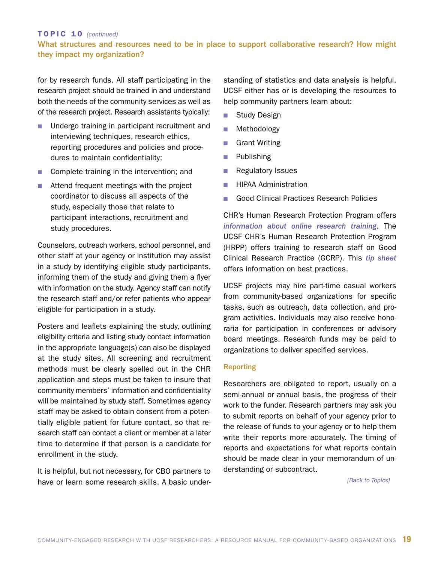#### TOPIC 10 *(continued)* What structures and resources need to be in place to support collaborative research? How might they impact my organization?

for by research funds. All staff participating in the research project should be trained in and understand both the needs of the community services as well as of the research project. Research assistants typically:

- Undergo training in participant recruitment and interviewing techniques, research ethics, reporting procedures and policies and procedures to maintain confidentiality;
- Complete training in the intervention; and
- $\blacksquare$  Attend frequent meetings with the project coordinator to discuss all aspects of the study, especially those that relate to participant interactions, recruitment and study procedures.

Counselors, outreach workers, school personnel, and other staff at your agency or institution may assist in a study by identifying eligible study participants, informing them of the study and giving them a flyer with information on the study. Agency staff can notify the research staff and/or refer patients who appear eligible for participation in a study.

Posters and leaflets explaining the study, outlining eligibility criteria and listing study contact information in the appropriate language(s) can also be displayed at the study sites. All screening and recruitment methods must be clearly spelled out in the CHR application and steps must be taken to insure that community members' information and confidentiality will be maintained by study staff. Sometimes agency staff may be asked to obtain consent from a potentially eligible patient for future contact, so that research staff can contact a client or member at a later time to determine if that person is a candidate for enrollment in the study.

It is helpful, but not necessary, for CBO partners to have or learn some research skills. A basic understanding of statistics and data analysis is helpful. UCSF either has or is developing the resources to help community partners learn about:

- **n** Study Design
- **n** Methodology
- **n** Grant Writing
- **n** Publishing
- **n** Regulatory Issues
- **HIPAA Administration**
- Good Clinical Practices Research Policies

CHR's Human Research Protection Program offers *[information about online research training](http://www.research.ucsf.edu/chr/Train/chrTrain.asp)*. The UCSF CHR's Human Research Protection Program (HRPP) offers training to research staff on Good Clinical Research Practice (GCRP). This *[tip sheet](http://research.ucsf.edu/CHR/Qip/QIU_GCRP_tips.pdf)* offers information on best practices.

UCSF projects may hire part-time casual workers from community-based organizations for specific tasks, such as outreach, data collection, and program activities. Individuals may also receive honoraria for participation in conferences or advisory board meetings. Research funds may be paid to organizations to deliver specified services.

#### **Reporting**

Researchers are obligated to report, usually on a semi-annual or annual basis, the progress of their work to the funder. Research partners may ask you to submit reports on behalf of your agency prior to the release of funds to your agency or to help them write their reports more accurately. The timing of reports and expectations for what reports contain should be made clear in your memorandum of understanding or subcontract.

 *[\[Back to Topics\]](#page-2-0)*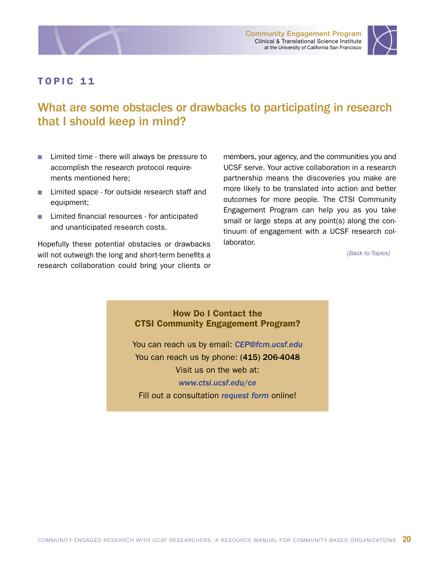<span id="page-24-0"></span>



# What are some obstacles or drawbacks to participating in research that I should keep in mind?

- $\blacksquare$  Limited time there will always be pressure to accomplish the research protocol requirements mentioned here;
- Limited space for outside research staff and equipment;
- Limited financial resources for anticipated and unanticipated research costs.

Hopefully these potential obstacles or drawbacks will not outweigh the long and short-term benefits a research collaboration could bring your clients or members, your agency, and the communities you and UCSF serve. Your active collaboration in a research partnership means the discoveries you make are more likely to be translated into action and better outcomes for more people. The CTSI Community Engagement Program can help you as you take small or large steps at any point(s) along the continuum of engagement with a UCSF research collaborator.

*[\[Back to Topics\]](#page-2-0)*

#### How Do I Contact the CTSI Community Engagement Program?

You can reach us by email: *[CEP@fcm.ucsf.edu](mailto:CEP@fcm.ucsf.edu)* You can reach us by phone: (415) 206-4048 Visit us on the web at: *[www.ctsi.ucsf.edu/ce](http://ctsi.ucsf.edu/ce/index.php)* Fill out a consultation *[request form](http://ctsi.ucsf.edu/ce/request/community.php)* online!